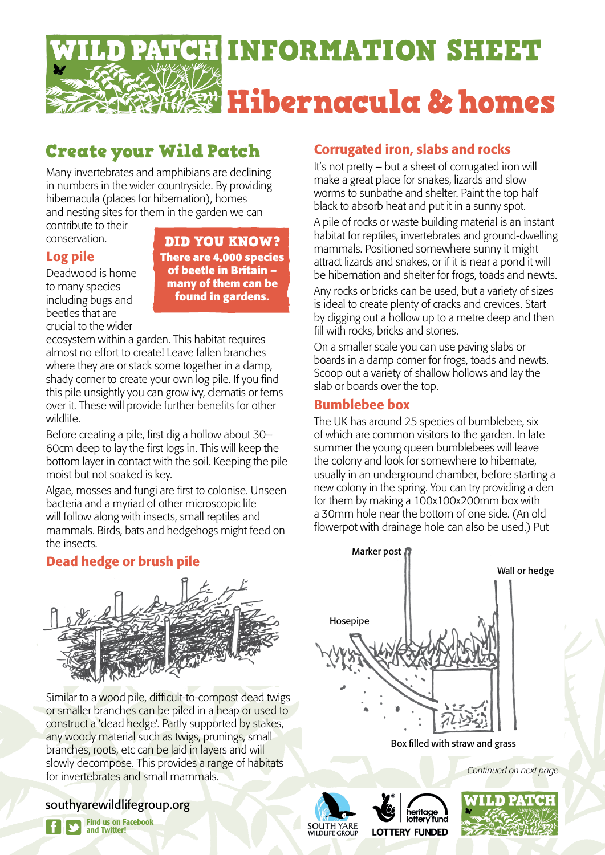

# Create your Wild Patch

Many invertebrates and amphibians are declining in numbers in the wider countryside. By providing hibernacula (places for hibernation), homes and nesting sites for them in the garden we can

contribute to their conservation.

# Log pile

Deadwood is home to many species including bugs and beetles that are crucial to the wider

DID YOU KNOW? **There are 4,000 species of beetle in Britain – many of them can be found in gardens.**

ecosystem within a garden. This habitat requires almost no effort to create! Leave fallen branches where they are or stack some together in a damp, shady corner to create your own log pile. If you find this pile unsightly you can grow ivy, clematis or ferns over it. These will provide further benefits for other wildlife.

Before creating a pile, first dig a hollow about 30– 60cm deep to lay the first logs in. This will keep the bottom layer in contact with the soil. Keeping the pile moist but not soaked is key.

Algae, mosses and fungi are first to colonise. Unseen bacteria and a myriad of other microscopic life will follow along with insects, small reptiles and mammals. Birds, bats and hedgehogs might feed on the insects.

# Dead hedge or brush pile



Similar to a wood pile, difficult-to-compost dead twigs or smaller branches can be piled in a heap or used to construct a 'dead hedge'. Partly supported by stakes, any woody material such as twigs, prunings, small branches, roots, etc can be laid in layers and will slowly decompose. This provides a range of habitats for invertebrates and small mammals.

# southyarewildlifegroup.org



Find us on Facebook and Twitter!

# Corrugated iron, slabs and rocks

It's not pretty – but a sheet of corrugated iron will make a great place for snakes, lizards and slow worms to sunbathe and shelter. Paint the top half black to absorb heat and put it in a sunny spot.

A pile of rocks or waste building material is an instant habitat for reptiles, invertebrates and ground-dwelling mammals. Positioned somewhere sunny it might attract lizards and snakes, or if it is near a pond it will be hibernation and shelter for frogs, toads and newts.

Any rocks or bricks can be used, but a variety of sizes is ideal to create plenty of cracks and crevices. Start by digging out a hollow up to a metre deep and then fill with rocks, bricks and stones.

On a smaller scale you can use paving slabs or boards in a damp corner for frogs, toads and newts. Scoop out a variety of shallow hollows and lay the slab or boards over the top.

# Bumblebee box

The UK has around 25 species of bumblebee, six of which are common visitors to the garden. In late summer the young queen bumblebees will leave the colony and look for somewhere to hibernate, usually in an underground chamber, before starting a new colony in the spring. You can try providing a den for them by making a 100x100x200mm box with a 30mm hole near the bottom of one side. (An old flowerpot with drainage hole can also be used.) Put



Box filled with straw and grass

*Continued on next page*



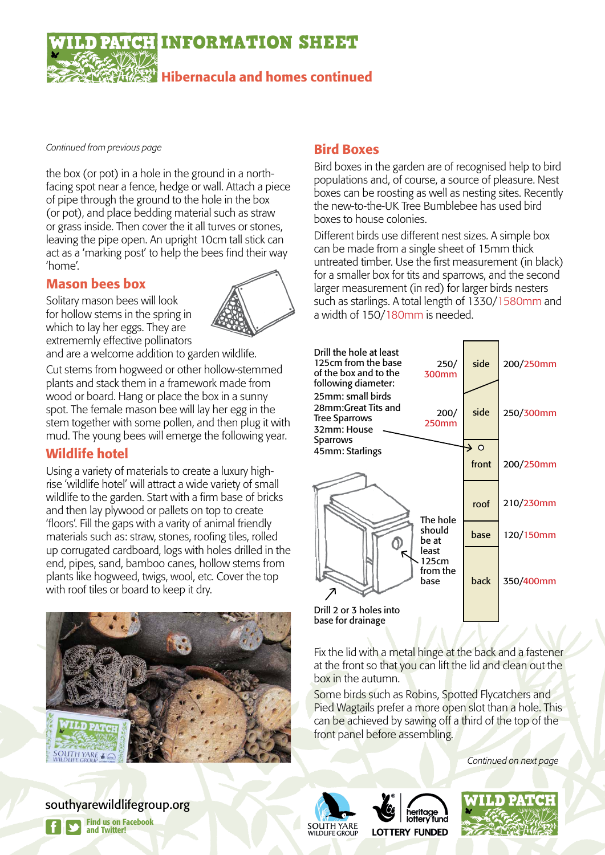INFORMATION SHEET

Hibernacula and homes continued

*Continued from previous page*

the box (or pot) in a hole in the ground in a northfacing spot near a fence, hedge or wall. Attach a piece of pipe through the ground to the hole in the box (or pot), and place bedding material such as straw or grass inside. Then cover the it all turves or stones, leaving the pipe open. An upright 10cm tall stick can act as a 'marking post' to help the bees find their way 'home'.

#### Mason bees box

Solitary mason bees will look for hollow stems in the spring in which to lay her eggs. They are extrememly effective pollinators



and are a welcome addition to garden wildlife.

Cut stems from hogweed or other hollow-stemmed plants and stack them in a framework made from wood or board. Hang or place the box in a sunny spot. The female mason bee will lay her egg in the stem together with some pollen, and then plug it with mud. The young bees will emerge the following year.

#### Wildlife hotel

Using a variety of materials to create a luxury highrise 'wildlife hotel' will attract a wide variety of small wildlife to the garden. Start with a firm base of bricks and then lay plywood or pallets on top to create 'floors'. Fill the gaps with a varity of animal friendly materials such as: straw, stones, roofing tiles, rolled up corrugated cardboard, logs with holes drilled in the end, pipes, sand, bamboo canes, hollow stems from plants like hogweed, twigs, wool, etc. Cover the top with roof tiles or board to keep it dry.



### Bird Boxes

Bird boxes in the garden are of recognised help to bird populations and, of course, a source of pleasure. Nest boxes can be roosting as well as nesting sites. Recently the new-to-the-UK Tree Bumblebee has used bird boxes to house colonies.

Different birds use different nest sizes. A simple box can be made from a single sheet of 15mm thick untreated timber. Use the first measurement (in black) for a smaller box for tits and sparrows, and the second larger measurement (in red) for larger birds nesters such as starlings. A total length of 1330/1580mm and a width of 150/180mm is needed.

| Drill the hole at least<br>125cm from the base<br>of the box and to the<br>following diameter: | 250/<br>300mm                                                     | side            | 200/250mm |
|------------------------------------------------------------------------------------------------|-------------------------------------------------------------------|-----------------|-----------|
| 25mm: small birds<br>28mm:Great Tits and<br><b>Tree Sparrows</b><br>32mm: House                | 200/<br>250mm                                                     | side            | 250/300mm |
| <b>Sparrows</b><br>45mm: Starlings                                                             |                                                                   | $\rightarrow$ 0 |           |
|                                                                                                |                                                                   | front           | 200/250mm |
| Drill 2 or 3 holes into                                                                        | The hole<br>should<br>be at<br>least<br>125cm<br>from the<br>base | roof            | 210/230mm |
|                                                                                                |                                                                   | base            | 120/150mm |
|                                                                                                |                                                                   | back            | 350/400mm |
| base for drainage                                                                              |                                                                   |                 |           |

Fix the lid with a metal hinge at the back and a fastener at the front so that you can lift the lid and clean out the box in the autumn.

Some birds such as Robins, Spotted Flycatchers and Pied Wagtails prefer a more open slot than a hole. This can be achieved by sawing off a third of the top of the front panel before assembling.

*Continued on next page*

southyarewildlifegroup.org



**SOUTH YARE**<br>WILDLIFE GROUP **LOTTERY FUNDED**